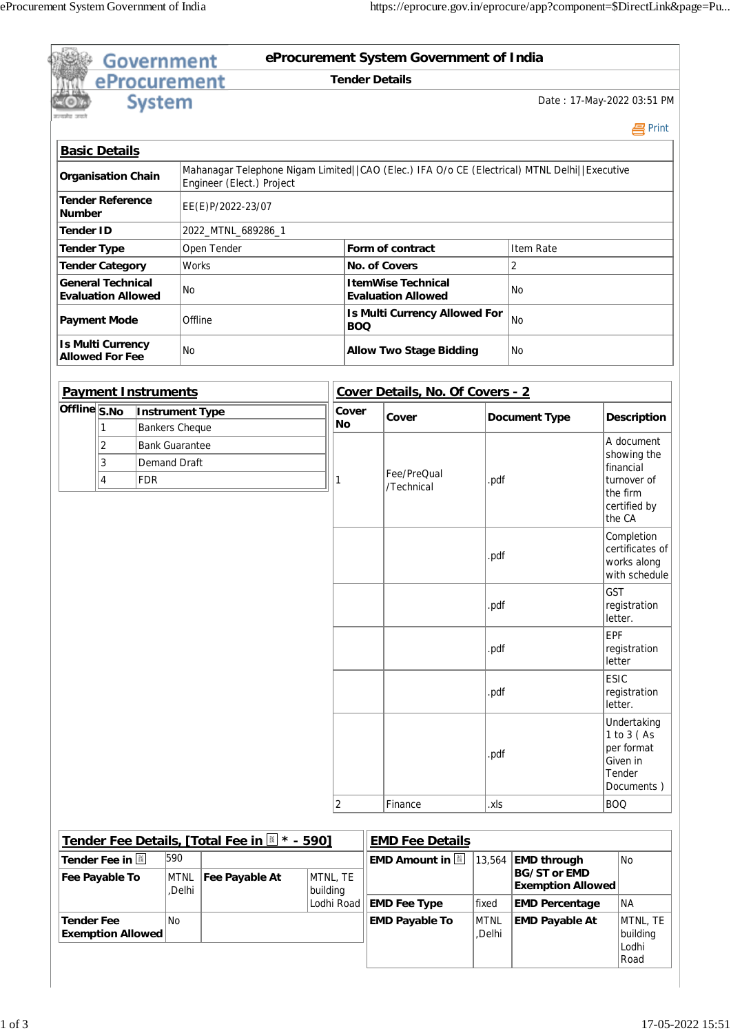|                    |                                                       | Government                                          |                    |                                                                                                                           |          |                       | eProcurement System Government of India                |                                |                                                |                        |                                                                               |
|--------------------|-------------------------------------------------------|-----------------------------------------------------|--------------------|---------------------------------------------------------------------------------------------------------------------------|----------|-----------------------|--------------------------------------------------------|--------------------------------|------------------------------------------------|------------------------|-------------------------------------------------------------------------------|
|                    | <b>eProcurement</b>                                   |                                                     |                    |                                                                                                                           |          | <b>Tender Details</b> |                                                        |                                |                                                |                        |                                                                               |
| पन्यमेव जन्म       |                                                       | <b>System</b>                                       |                    |                                                                                                                           |          |                       |                                                        |                                | Date: 17-May-2022 03:51 PM                     |                        |                                                                               |
|                    |                                                       |                                                     |                    |                                                                                                                           |          |                       |                                                        |                                |                                                |                        | 昌 Print                                                                       |
|                    | <b>Basic Details</b><br><b>Organisation Chain</b>     |                                                     |                    | Mahanagar Telephone Nigam Limited  CAO (Elec.) IFA O/o CE (Electrical) MTNL Delhi  Executive<br>Engineer (Elect.) Project |          |                       |                                                        |                                |                                                |                        |                                                                               |
| <b>Number</b>      | <b>Tender Reference</b>                               |                                                     |                    | EE(E)P/2022-23/07                                                                                                         |          |                       |                                                        |                                |                                                |                        |                                                                               |
| <b>Tender ID</b>   |                                                       |                                                     |                    | 2022_MTNL_689286_1                                                                                                        |          |                       |                                                        |                                |                                                |                        |                                                                               |
| <b>Tender Type</b> |                                                       |                                                     |                    | Open Tender                                                                                                               |          |                       | Form of contract                                       |                                | Item Rate                                      |                        |                                                                               |
|                    | <b>Tender Category</b>                                |                                                     | <b>Works</b>       |                                                                                                                           |          |                       | No. of Covers                                          |                                | 2                                              |                        |                                                                               |
|                    | <b>General Technical</b><br><b>Evaluation Allowed</b> |                                                     | No                 |                                                                                                                           |          |                       | <b>ItemWise Technical</b><br><b>Evaluation Allowed</b> |                                | No                                             |                        |                                                                               |
|                    | <b>Payment Mode</b>                                   |                                                     | Offline            |                                                                                                                           |          | <b>BOQ</b>            | <b>Is Multi Currency Allowed For</b>                   |                                | <b>No</b>                                      |                        |                                                                               |
|                    | <b>Is Multi Currency</b><br><b>Allowed For Fee</b>    |                                                     | No                 |                                                                                                                           |          |                       | <b>Allow Two Stage Bidding</b>                         |                                | <b>No</b>                                      |                        |                                                                               |
|                    | <b>Payment Instruments</b>                            |                                                     |                    |                                                                                                                           |          |                       | Cover Details, No. Of Covers - 2                       |                                |                                                |                        |                                                                               |
| Offline S.No       |                                                       | <b>Instrument Type</b><br><b>Bankers Cheque</b>     |                    |                                                                                                                           |          | Cover<br>No           | Cover                                                  |                                | <b>Document Type</b>                           |                        | <b>Description</b>                                                            |
|                    | 2<br>3<br>4                                           | <b>Bank Guarantee</b><br><b>Demand Draft</b><br>FDR |                    |                                                                                                                           |          |                       | Fee/PreQual<br>/Technical                              | .pdf                           |                                                | financial<br>the firm  | A document<br>showing the<br>turnover of                                      |
|                    |                                                       |                                                     |                    |                                                                                                                           |          |                       |                                                        | .pdf                           |                                                | the CA                 | certified by<br>Completion<br>certificates of<br>works along<br>with schedule |
|                    |                                                       |                                                     |                    |                                                                                                                           |          |                       |                                                        | .pdf                           |                                                | <b>GST</b><br>letter.  | registration                                                                  |
|                    |                                                       |                                                     |                    |                                                                                                                           |          |                       |                                                        | .pdf                           |                                                | EPF<br>letter          | registration                                                                  |
|                    |                                                       |                                                     |                    |                                                                                                                           |          |                       |                                                        | .pdf                           |                                                | <b>ESIC</b><br>letter. | registration                                                                  |
|                    |                                                       |                                                     |                    |                                                                                                                           |          |                       |                                                        | .pdf                           |                                                | Given in<br>Tender     | Undertaking<br>1 to 3 ( $As$<br>per format<br>Documents)                      |
|                    |                                                       |                                                     |                    |                                                                                                                           |          | $\overline{2}$        | Finance                                                | .xls                           |                                                | <b>BOQ</b>             |                                                                               |
|                    |                                                       |                                                     |                    | Tender Fee Details, [Total Fee in    * - 590]                                                                             |          |                       | <b>EMD Fee Details</b>                                 |                                |                                                |                        |                                                                               |
|                    | Tender Fee in<br>Fee Payable To                       |                                                     | 590<br><b>MTNL</b> | Fee Payable At                                                                                                            |          | MTNL, TE              | EMD Amount in IL                                       | 13,564                         | <b>EMD through</b><br><b>BG/ST or EMD</b>      |                        | No                                                                            |
|                    |                                                       |                                                     | ,Delhi             |                                                                                                                           | building |                       |                                                        |                                | <b>Exemption Allowed</b>                       |                        |                                                                               |
| <b>Tender Fee</b>  | <b>Exemption Allowed</b>                              |                                                     | <b>No</b>          |                                                                                                                           |          | Lodhi Road            | <b>EMD Fee Type</b><br><b>EMD Payable To</b>           | fixed<br><b>MTNL</b><br>,Delhi | <b>EMD Percentage</b><br><b>EMD Payable At</b> |                        | <b>NA</b><br>MTNL, TE<br>building                                             |
|                    |                                                       |                                                     |                    |                                                                                                                           |          |                       |                                                        |                                |                                                |                        | Lodhi<br>Road                                                                 |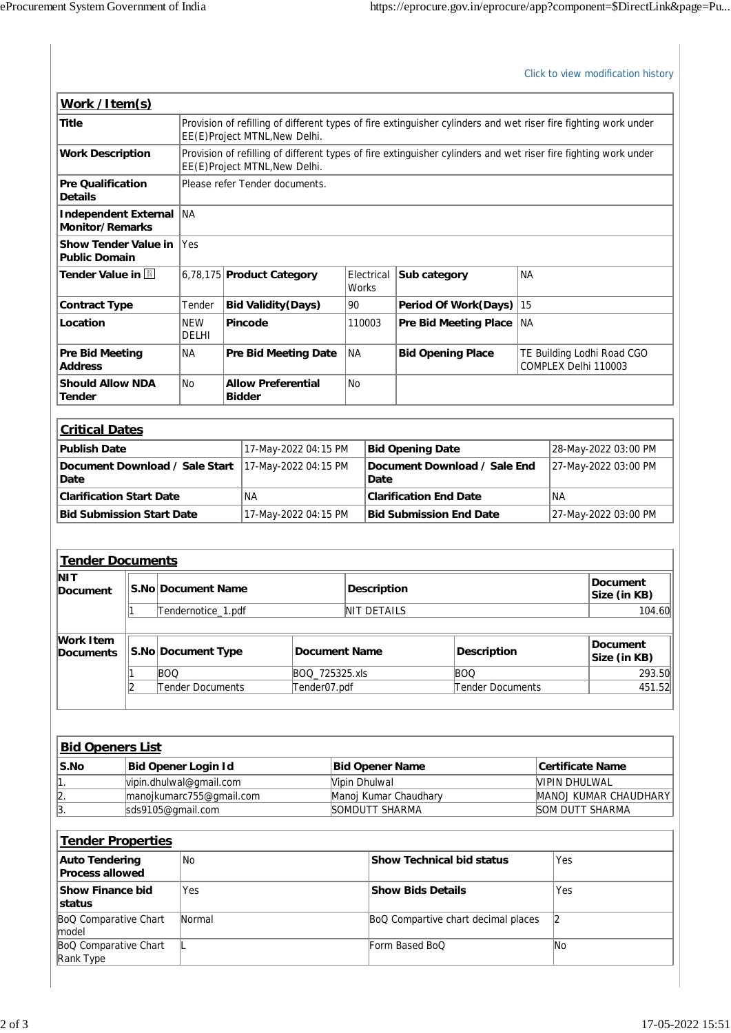Click to view modification history

|                                                     |   |            |                            |               |                                |                      |           |                        |                                  |                                     |           |                         | <b>UILA IU VIEW HIUUIHLAHUH HISTUI Y</b>                                                                        |
|-----------------------------------------------------|---|------------|----------------------------|---------------|--------------------------------|----------------------|-----------|------------------------|----------------------------------|-------------------------------------|-----------|-------------------------|-----------------------------------------------------------------------------------------------------------------|
| Work /Item(s)                                       |   |            |                            |               |                                |                      |           |                        |                                  |                                     |           |                         |                                                                                                                 |
| <b>Title</b>                                        |   |            |                            |               | EE(E)Project MTNL, New Delhi.  |                      |           |                        |                                  |                                     |           |                         | Provision of refilling of different types of fire extinguisher cylinders and wet riser fire fighting work under |
| <b>Work Description</b>                             |   |            |                            |               | EE(E)Project MTNL, New Delhi.  |                      |           |                        |                                  |                                     |           |                         | Provision of refilling of different types of fire extinguisher cylinders and wet riser fire fighting work under |
| <b>Pre Qualification</b><br><b>Details</b>          |   |            |                            |               | Please refer Tender documents. |                      |           |                        |                                  |                                     |           |                         |                                                                                                                 |
| <b>Independent External</b><br>Monitor/Remarks      |   |            | NA                         |               |                                |                      |           |                        |                                  |                                     |           |                         |                                                                                                                 |
| <b>Show Tender Value in</b><br><b>Public Domain</b> |   |            | Yes                        |               |                                |                      |           |                        |                                  |                                     |           |                         |                                                                                                                 |
| Tender Value in <b>N</b>                            |   |            |                            |               | 6,78,175 Product Category      |                      |           | Electrical<br>Works    | Sub category                     |                                     | <b>NA</b> |                         |                                                                                                                 |
| <b>Contract Type</b>                                |   |            | Tender                     |               | <b>Bid Validity (Days)</b>     |                      | 90        |                        |                                  | <b>Period Of Work(Days)</b>         | 15        |                         |                                                                                                                 |
| Location                                            |   |            | <b>NEW</b><br>DELHI        |               | <b>Pincode</b>                 |                      |           | 110003                 |                                  | <b>Pre Bid Meeting Place</b>        | <b>NA</b> |                         |                                                                                                                 |
| <b>Pre Bid Meeting</b><br><b>Address</b>            |   |            | ΝA                         |               | Pre Bid Meeting Date           |                      | <b>NA</b> |                        | <b>Bid Opening Place</b>         |                                     |           |                         | TE Building Lodhi Road CGO<br>COMPLEX Delhi 110003                                                              |
| <b>Should Allow NDA</b><br><b>Tender</b>            |   |            | No                         | <b>Bidder</b> | <b>Allow Preferential</b>      |                      | No        |                        |                                  |                                     |           |                         |                                                                                                                 |
| <b>Critical Dates</b>                               |   |            |                            |               |                                |                      |           |                        |                                  |                                     |           |                         |                                                                                                                 |
|                                                     |   |            |                            |               |                                |                      |           |                        |                                  |                                     |           |                         |                                                                                                                 |
| <b>Publish Date</b>                                 |   |            |                            |               | 17-May-2022 04:15 PM           |                      |           |                        | <b>Bid Opening Date</b>          |                                     |           |                         | 28-May-2022 03:00 PM                                                                                            |
| Document Download / Sale Start<br>Date              |   |            |                            |               | 17-May-2022 04:15 PM           |                      |           | Date                   |                                  | Document Download / Sale End        |           |                         | 27-May-2022 03:00 PM                                                                                            |
| <b>Clarification Start Date</b>                     |   |            |                            |               | ΝA                             |                      |           |                        | <b>Clarification End Date</b>    |                                     |           | <b>NA</b>               |                                                                                                                 |
| <b>Bid Submission Start Date</b>                    |   |            |                            |               | 17-May-2022 04:15 PM           |                      |           |                        | <b>Bid Submission End Date</b>   |                                     |           |                         | 27-May-2022 03:00 PM                                                                                            |
|                                                     |   |            |                            |               |                                |                      |           |                        |                                  |                                     |           |                         |                                                                                                                 |
| <b>Tender Documents</b>                             |   |            |                            |               |                                |                      |           |                        |                                  |                                     |           |                         |                                                                                                                 |
| NIT                                                 |   |            |                            |               |                                |                      |           |                        |                                  |                                     |           |                         | <b>Document</b>                                                                                                 |
| <b>Document</b>                                     |   |            | S.No Document Name         |               |                                |                      |           | <b>Description</b>     |                                  |                                     |           |                         | Size (in KB)                                                                                                    |
|                                                     |   |            | Tendernotice_1.pdf         |               |                                |                      |           | <b>NIT DETAILS</b>     |                                  |                                     |           |                         | 104.60                                                                                                          |
|                                                     |   |            |                            |               |                                |                      |           |                        |                                  |                                     |           |                         |                                                                                                                 |
| Work Item<br><b>Documents</b>                       |   |            | S.No Document Type         |               |                                | <b>Document Name</b> |           |                        |                                  | <b>Description</b>                  |           |                         | <b>Document</b><br>Size (in KB)                                                                                 |
|                                                     |   | <b>BOQ</b> |                            |               |                                | BOQ_725325.xls       |           |                        |                                  | <b>BOQ</b>                          |           |                         | 293.50                                                                                                          |
|                                                     | 2 |            | <b>Tender Documents</b>    |               |                                | Tender07.pdf         |           |                        |                                  | Tender Documents                    |           |                         | 451.52                                                                                                          |
|                                                     |   |            |                            |               |                                |                      |           |                        |                                  |                                     |           |                         |                                                                                                                 |
| <b>Bid Openers List</b>                             |   |            |                            |               |                                |                      |           |                        |                                  |                                     |           |                         |                                                                                                                 |
| S.No                                                |   |            | <b>Bid Opener Login Id</b> |               |                                |                      |           | <b>Bid Opener Name</b> |                                  |                                     |           | <b>Certificate Name</b> |                                                                                                                 |
| 1.                                                  |   |            | vipin.dhulwal@gmail.com    |               |                                |                      |           | Vipin Dhulwal          |                                  |                                     |           | VIPIN DHULWAL           |                                                                                                                 |
| $\overline{2}$ .                                    |   |            | manojkumarc755@gmail.com   |               |                                |                      |           |                        | Manoj Kumar Chaudhary            |                                     |           |                         | MANOJ KUMAR CHAUDHARY                                                                                           |
| $\overline{3}$ .                                    |   |            | sds9105@gmail.com          |               |                                |                      |           | SOMDUTT SHARMA         |                                  |                                     |           |                         | <b>SOM DUTT SHARMA</b>                                                                                          |
| <b>Tender Properties</b>                            |   |            |                            |               |                                |                      |           |                        |                                  |                                     |           |                         |                                                                                                                 |
| <b>Auto Tendering</b><br><b>Process allowed</b>     |   |            | No                         |               |                                |                      |           |                        | <b>Show Technical bid status</b> |                                     |           | Yes                     |                                                                                                                 |
| <b>Show Finance bid</b><br>status                   |   |            | Yes                        |               |                                |                      |           |                        | <b>Show Bids Details</b>         |                                     |           | Yes                     |                                                                                                                 |
| BoQ Comparative Chart<br>model                      |   |            | Normal                     |               |                                |                      |           |                        |                                  | BoQ Compartive chart decimal places |           | 2                       |                                                                                                                 |
| <b>BoQ Comparative Chart</b>                        |   |            |                            |               |                                |                      |           |                        | Form Based BoQ                   |                                     |           | No                      |                                                                                                                 |

Rank Type